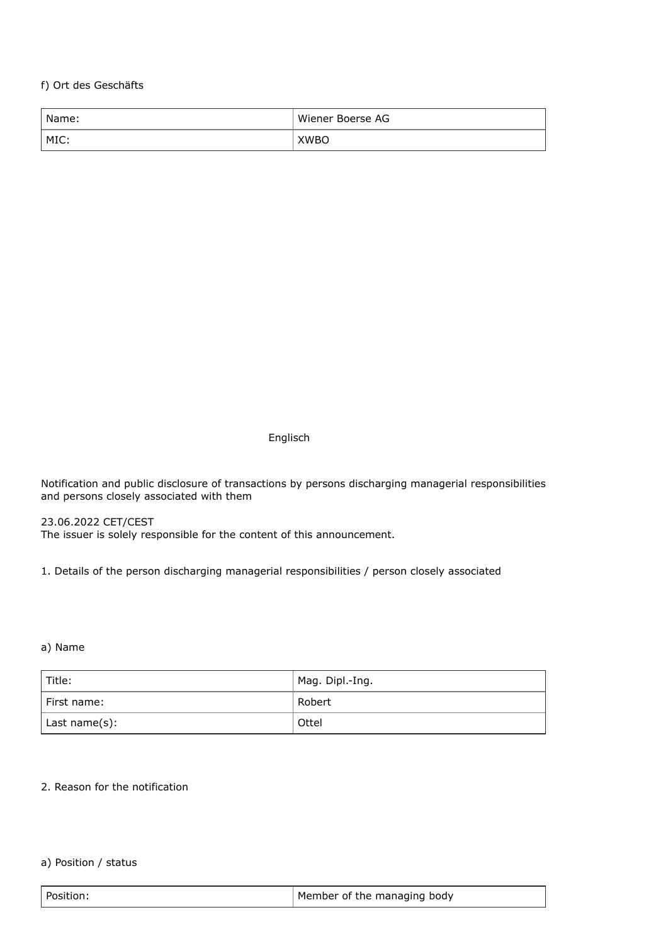f) Ort des Geschäfts

| Name: | Wiener Boerse AG |
|-------|------------------|
| MIC:  | <b>XWBO</b>      |

Englisch

Notification and public disclosure of transactions by persons discharging managerial responsibilities and persons closely associated with them

23.06.2022 CET/CEST The issuer is solely responsible for the content of this announcement.

1. Details of the person discharging managerial responsibilities / person closely associated

a) Name

| Title:        | Mag. Dipl.-Ing. |
|---------------|-----------------|
| l First name: | Robert          |
| Last name(s): | Ottel           |

#### 2. Reason for the notification

#### a) Position / status

| Position: | Member of the managing body |
|-----------|-----------------------------|
|           |                             |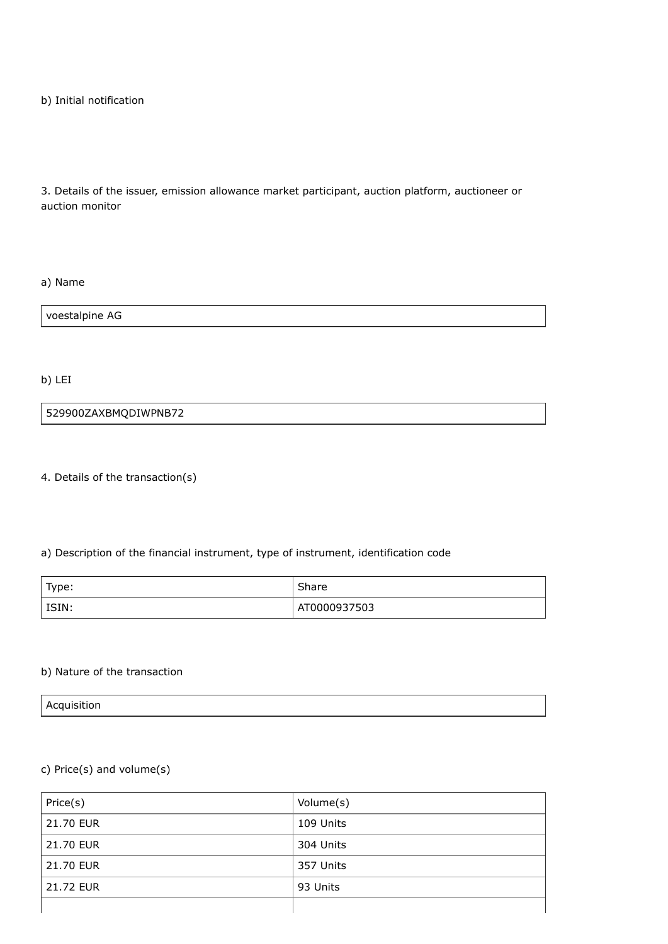b) Initial notification

3. Details of the issuer, emission allowance market participant, auction platform, auctioneer or auction monitor

a) Name

voestalpine AG

b) LEI

529900ZAXBMQDIWPNB72

4. Details of the transaction(s)

### a) Description of the financial instrument, type of instrument, identification code

| Type: | Share        |
|-------|--------------|
| ISIN: | AT0000937503 |

#### b) Nature of the transaction

Acquisition

# c) Price(s) and volume(s)

| Price(s)  | Volume(s) |
|-----------|-----------|
| 21.70 EUR | 109 Units |
| 21.70 EUR | 304 Units |
| 21.70 EUR | 357 Units |
| 21.72 EUR | 93 Units  |
|           |           |